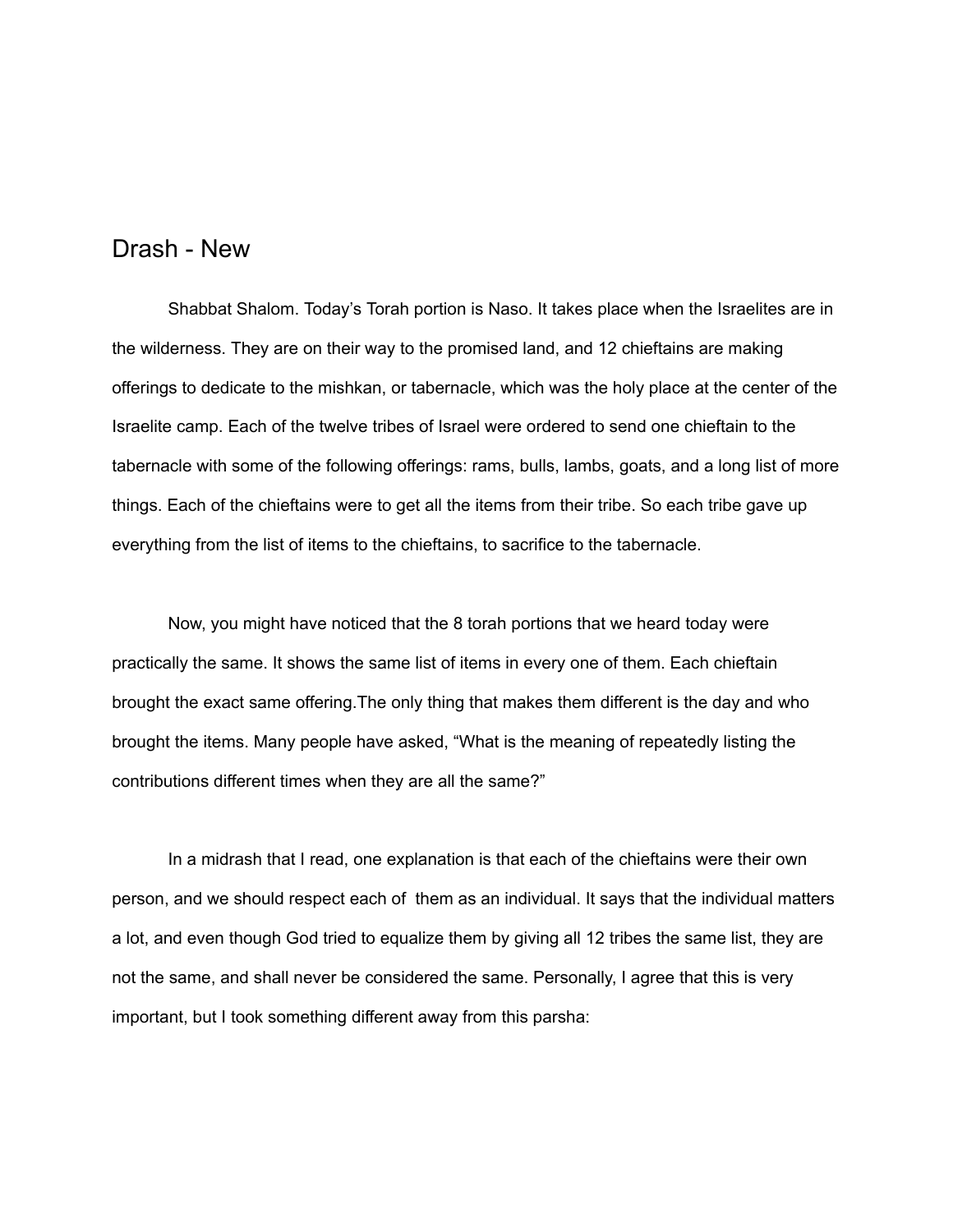## Drash - New

Shabbat Shalom. Today's Torah portion is Naso. It takes place when the Israelites are in the wilderness. They are on their way to the promised land, and 12 chieftains are making offerings to dedicate to the mishkan, or tabernacle, which was the holy place at the center of the Israelite camp. Each of the twelve tribes of Israel were ordered to send one chieftain to the tabernacle with some of the following offerings: rams, bulls, lambs, goats, and a long list of more things. Each of the chieftains were to get all the items from their tribe. So each tribe gave up everything from the list of items to the chieftains, to sacrifice to the tabernacle.

Now, you might have noticed that the 8 torah portions that we heard today were practically the same. It shows the same list of items in every one of them. Each chieftain brought the exact same offering.The only thing that makes them different is the day and who brought the items. Many people have asked, "What is the meaning of repeatedly listing the contributions different times when they are all the same?"

In a midrash that I read, one explanation is that each of the chieftains were their own person, and we should respect each of them as an individual. It says that the individual matters a lot, and even though God tried to equalize them by giving all 12 tribes the same list, they are not the same, and shall never be considered the same. Personally, I agree that this is very important, but I took something different away from this parsha: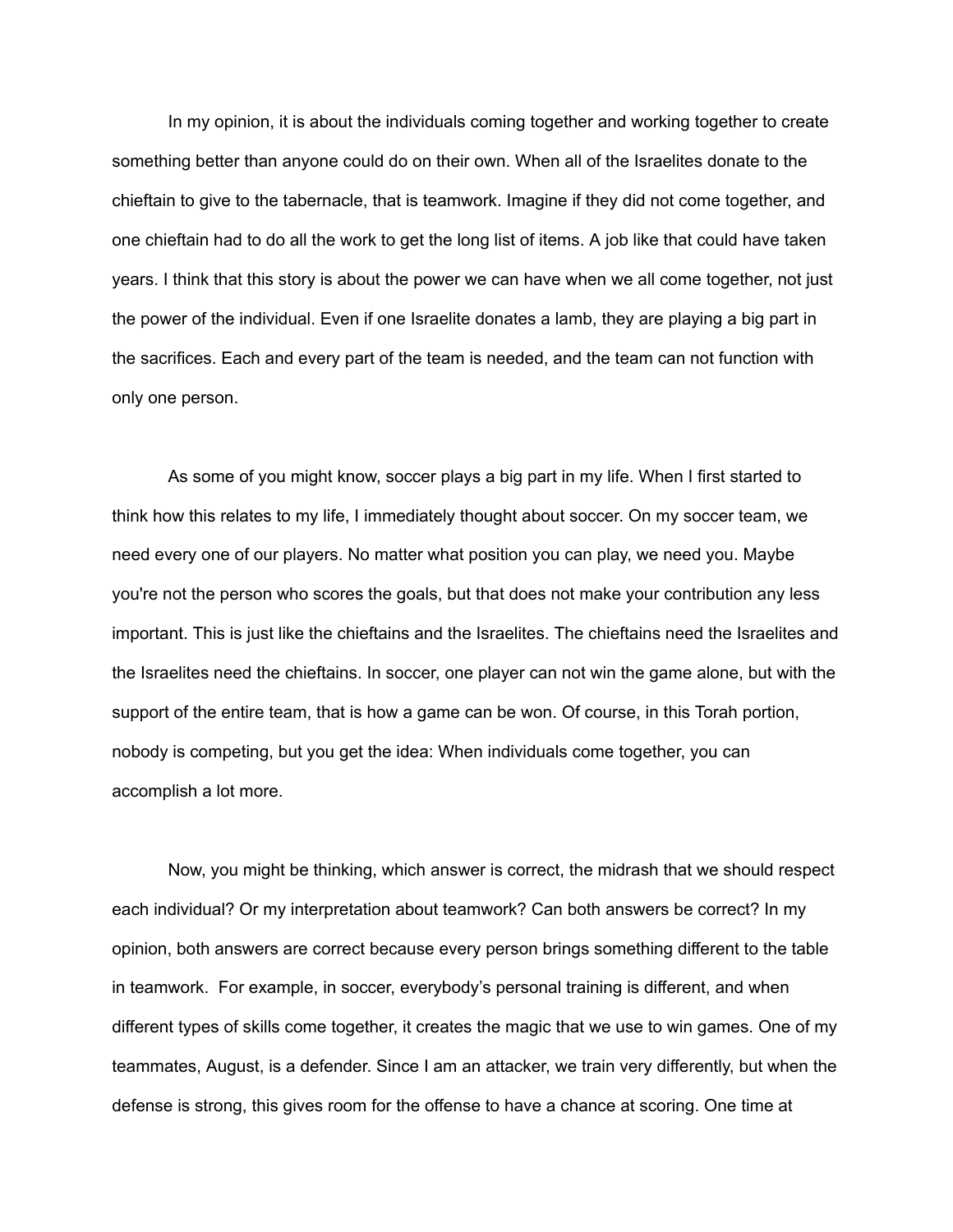In my opinion, it is about the individuals coming together and working together to create something better than anyone could do on their own. When all of the Israelites donate to the chieftain to give to the tabernacle, that is teamwork. Imagine if they did not come together, and one chieftain had to do all the work to get the long list of items. A job like that could have taken years. I think that this story is about the power we can have when we all come together, not just the power of the individual. Even if one Israelite donates a lamb, they are playing a big part in the sacrifices. Each and every part of the team is needed, and the team can not function with only one person.

As some of you might know, soccer plays a big part in my life. When I first started to think how this relates to my life, I immediately thought about soccer. On my soccer team, we need every one of our players. No matter what position you can play, we need you. Maybe you're not the person who scores the goals, but that does not make your contribution any less important. This is just like the chieftains and the Israelites. The chieftains need the Israelites and the Israelites need the chieftains. In soccer, one player can not win the game alone, but with the support of the entire team, that is how a game can be won. Of course, in this Torah portion, nobody is competing, but you get the idea: When individuals come together, you can accomplish a lot more.

Now, you might be thinking, which answer is correct, the midrash that we should respect each individual? Or my interpretation about teamwork? Can both answers be correct? In my opinion, both answers are correct because every person brings something different to the table in teamwork. For example, in soccer, everybody's personal training is different, and when different types of skills come together, it creates the magic that we use to win games. One of my teammates, August, is a defender. Since I am an attacker, we train very differently, but when the defense is strong, this gives room for the offense to have a chance at scoring. One time at